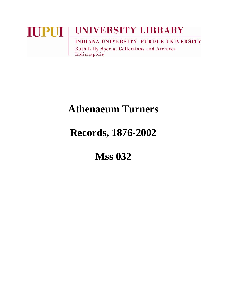### **UNIVERSITY LIBRARY IUPUI** INDIANA UNIVERSITY-PURDUE UNIVERSITY **Ruth Lilly Special Collections and Archives**

Indianapolis

# **Athenaeum Turners**

## **Records, 1876-2002**

## **Mss 032**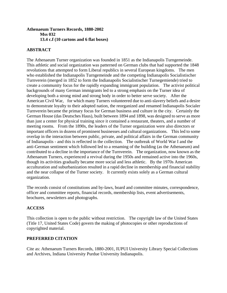#### **Athenaeum Turners Records, 1880-2002 Mss 032 13.4 c.f (10 cartons and 6 flat boxes)**

#### **ABSTRACT**

The Athenaeum Turner organization was founded in 1851 as the Indianapolis Turngemeinde. This athletic and social organization was patterned on German clubs that had supported the 1848 revolutions that attempted to form Liberal republics in several European kingdoms. The men who established the Indianapolis Turngemeinde and the competing Indianapolis Socialistischer Turnverein (merged in 1852 to form the Indianapolis Socialistischer Turnegemiende) tried to create a community focus for the rapidly expanding immigrant population. The activist political backgrounds of many German immigrants led to a strong emphasis on the Turner idea of developing both a strong mind and strong body in order to better serve society. After the American Civil War, for which many Turners volunteered due to anti-slavery beliefs and a desire to demonstrate loyalty to their adopted nation, the reorganized and renamed Indianapolis Socialer Turnverein became the primary focus for German business and culture in the city. Certainly the German House (das Deutsches Haus), built between 1894 and 1898, was designed to serve as more than just a center for physical training since it contained a restaurant, theaters, and a number of meeting rooms. From the 1890s, the leaders of the Turner organization were also directors or important officers in dozens of prominent businesses and cultural organizations. This led to some overlap in the interaction between public, private, and political affairs in the German community of Indianapolis - and this is reflected in the collection. The outbreak of World War I and the anti-German sentiment which followed led to a renaming of the building (as the Athenaeum) and contributed to a decline in the importance of the Turnverein. The organization, now known as the Athenaeum Turners, experienced a revival during the 1950s and remained active into the 1960s, though its activities gradually became more social and less athletic. By the 1970s American acculturation and suburbanization resulted in a rapid decline in membership and financial stability and the near collapse of the Turner society. It currently exists solely as a German cultural organization.

The records consist of constitutions and by-laws, board and committee minutes, correspondence, officer and committee reports, financial records, membership lists, event advertisements, brochures, newsletters and photographs.

#### **ACCESS**

This collection is open to the public without restriction. The copyright law of the United States (Title 17, United States Code) govern the making of photocopies or other reproductions of copyrighted material.

#### **PREFERRED CITATION**

Cite as: Athenaeum Turners Records, 1880-2001, IUPUI University Library Special Collections and Archives, Indiana University Purdue University Indianapolis.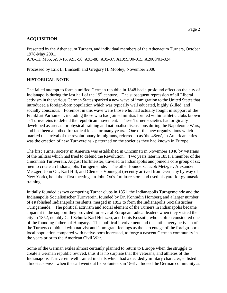#### **ACQUISITION**

Presented by the Athenaeum Turners, and individual members of the Athenaeum Turners, October 1978-May 2001. A78-11, M55, A93-16, A93-58, A93-88, A95-37, A1999/00-015, A2000/01-024

Processed by Erik L. Lindseth and Gregory H. Mobley, November 2000

#### **HISTORICAL NOTE**

The failed attempt to form a unified German republic in 1848 had a profound effect on the city of Indianapolis during the last half of the  $19<sup>th</sup>$  century. The subsequent repression of all Liberal activism in the various German States sparked a new wave of immigration to the United States that introduced a foreign-born population which was typically well educated, highly skilled, and socially conscious. Foremost in this wave were those who had actually fought in support of the Frankfurt Parliament, including those who had joined militias formed within athletic clubs known as Turnvereins to defend the republican movement. These Turner societies had originally developed as arenas for physical training and nationalist discussions during the Napoleonic Wars, and had been a hotbed for radical ideas for many years. One of the new organizations which marked the arrival of the revolutionary immigrants, referred to as 'the 48ers', in American cities was the creation of new Turnvereins - patterned on the societies they had known in Europe.

The first Turner society in America was established in Cincinnati in November 1848 by veterans of the militias which had tried to defend the Revolution. Two years later in 1851, a member of the Cincinnati Turnverein, August Hoffmeister, traveled to Indianapolis and joined a core group of six men to create an Indianapolis Turngemeinde. The other founders; Jacob Metzger, Alexander Metzger, John Ott, Karl Hill, and Clemens Vonnegut (recently arrived from Germany by way of New York), held their first meetings in John Ott's furniture store and used his yard for gymnastic training.

Initially founded as two competing Turner clubs in 1851, the Indianapolis Turngemeinde and the Indianapolis Socialistischer Turnverein, founded by Dr. Konradin Homberg and a larger number of established Indianapolis residents, merged in 1852 to form the Indianapolis Socialistischer Turngemeide. The political activism and social element of the Turners in Indianapolis became apparent in the support they provided for several European radical leaders when they visited the city in 1852, notably Carl Schurtz Karl Heinzen, and Louis Kossuth, who is often considered one of the founding fathers of Hungary. This political involvement and the anti-slavery activism of the Turners combined with nativist anti-immigrant feelings as the percentage of the foreign-born local population compared with native-born increased, to forge a nascent German community in the years prior to the American Civil War.

Some of the German exiles almost certainly planned to return to Europe when the struggle to create a German republic revived, thus it is no surprise that the veterans, and athletes of the Indianapolis Turnverein well trained in drills which had a decidedly military character, enlisted almost *en masse* when the call went out for volunteers in 1861. Indeed the German community as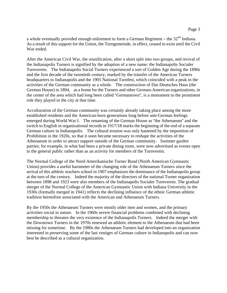a whole eventually provided enough enlistment to form a German Regiment – the  $32<sup>nd</sup>$  Indiana. As a result of this support for the Union, the Turngemeinde, in effect, ceased to exist until the Civil War ended.

After the American Civil War, the reunification, after a short split into two groups, and revival of the Indianapolis Turners is signified by the adoption of a new name: the Indianapolis Socialer Turnverein. The Indianapolis Social Turners experienced a sort of Golden Age during the 1890s and the first decade of the twentieth century, marked by the transfer of the American Turners headquarters to Indianapolis and the 1905 National Turnfest, which coincided with a peak in the activities of the German community as a whole. The construction of Das Deutsches Haus (the German House) in 1894, as a home for the Turners and other German-American organizations, in the center of the area which had long been called "Germantown", is a monument to the prominent role they played in the city at that time.

Acculturation of the German community was certainly already taking place among the more established residents and the American-born generations long before anti-German feelings emerged during World War I. The renaming of the German House as "the Athenaeum" and the switch to English in organizational records in 1917/18 marks the beginning of the end of a separate German culture in Indianapolis. The cultural erosion was only hastened by the imposition of Prohibition in the 1920s, so that it soon became necessary to reshape the activities of the Athenaeum in order to attract support outside of the German community. Summer garden parties; for example, in what had been a private dining room, were now advertised as events open to the general public rather than as an activity for members of the Turnverein.

The Normal College of the Nord-Amerikanische Turner Bund (North American Gymnastic Union) provides a useful barometer of the changing role of the Athenaeum Turners since the arrival of this athletic teachers school in 1907 emphasizes the dominance of the Indianapolis group at the turn of the century. Indeed the majority of the directors of the national Turner organization between 1898 and 1923 were also members of the Indianapolis Socialer Turnverein. The gradual merger of the Normal College of the American Gymnastic Union with Indiana University in the 1930s (formally merged in 1941) reflects the declining influence of the ethnic German athletic tradition heretofore associated with the American and Athenaeum Turners.

By the 1950s the Athenaeum Turners were mostly older men and women, and the primary activities social in nature. In the 1960s severe financial problems combined with declining membership to threaten the very existence of the Indianapolis Turners. Indeed the merger with the Downtown Turners in the 1970s renewed an athletic element to the Athenaeum that had been missing for sometime. By the 1980s the Athenaeum Turners had developed into an organization interested in preserving some of the last vestiges of German culture in Indianapolis and can now best be described as a cultural organization.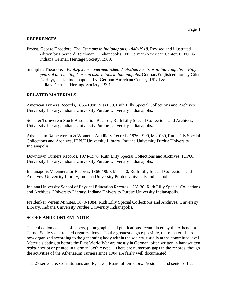#### **REFERENCES**

- Probst, George Theodore. *The Germans in Indianapolis: 1840-1918*. Revised and illustrated edition by Eberhard Reichman. Indianapolis, IN: German-American Center, IUPUI & Indiana German Heritage Society, 1989.
- Stempfel, Theodore. *Funfzig Jahre unermudlichen deutschen Strebens in Indianapolis = Fifty years of unrelenting German aspirations in Indianapolis*. German/English edition by Giles R. Hoyt, et al. Indianapolis, IN: German-American Center, IUPUI & Indiana German Heritage Society, 1991.

#### **RELATED MATERIALS**

American Turners Records, 1855-1998, Mss 030, Ruth Lilly Special Collections and Archives, University Library, Indiana University Purdue University Indianapolis.

Socialer Turnverein Stock Association Records, Ruth Lilly Special Collections and Archives, University Library, Indiana University Purdue University Indianapolis.

Athenaeum Damenverein & Women's Auxiliary Records, 1876-1999, Mss 039, Ruth Lilly Special Collections and Archives, IUPUI University Library, Indiana University Purdue University Indianapolis.

Downtown Turners Records, 1974-1976, Ruth Lilly Special Collections and Archives, IUPUI University Library, Indiana University Purdue University Indianapolis.

Indianapolis Maennerchor Records, 1866-1990, Mss 040, Ruth Lilly Special Collections and Archives, University Library, Indiana University Purdue University Indianapolis.

Indiana University School of Physical Education Records, , UA 36, Ruth Lilly Special Collections and Archives, University Library, Indiana University Purdue University Indianapolis.

Freidenker Verein Minutes, 1870-1884, Ruth Lilly Special Collections and Archives, University Library, Indiana University Purdue University Indianapolis.

#### **SCOPE AND CONTENT NOTE**

The collection consists of papers, photographs, and publications accumulated by the Atheneum Turner Society and related organizations. To the greatest degree possible, these materials are now organized according to the generating body within the society, usually at the committee level. Materials dating to before the First World War are mostly in German, often written in handwritten *fraktur* script or printed in German Gothic type. There are numerous gaps in the records, though the activities of the Athenaeum Turners since 1904 are fairly well documented.

The 27 series are: Constitutions and By-laws, Board of Directors, Presidents and senior officer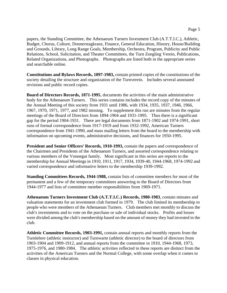papers, the Standing Committee, the Athenaeum Turners Investment Club (A.T.T.I.C.), Athletic, Budget, Chorus, Culture, Donnerstagkranz, Finance, General Education, History, House/Building and Grounds, Library, Long Range Goals, Membership, Orchestra, Program, Publicity and Public Relations, School, Solicitation, and Theater Committees, the Turn Zoegling Verein, Publications, Related Organizations, and Photographs. Photographs are listed both in the appropriate series and searchable online.

**Constitutions and Bylaws Records, 1897-1983,** contain printed copies of the constitutions of the society detailing the structure and organization of the Turnverein. Includes several annotated revisions and public record copies.

**Board of Directors Records, 1871-1995**, documents the activities of the main administrative body for the Athenaeum Turners. This series contains includes the record copy of the minutes of the Annual Meeting of this society from 1931 until 1986, with 1934, 1935, 1937, 1946, 1966, 1967, 1970, 1971, 1977, and 1982 missing. To supplement this run are minutes from the regular meetings of the Board of Directors from 1894-1904 and 1931-1995. Thus there is a significant gap for the period 1904-1931. There are legal documents from 1871-1902 and 1974-1991, short runs of formal correspondence from 1917-1919 and from 1932-1992, American Turners correspondence from 1941-1990, and mass mailing letters from the board to the membership with information on upcoming events, administrative decisions, and finances for 1950-1995.

**President and Senior Officers' Records, 1910-1993, contain the papers and correspondence of** the Chairmen and Presidents of the Athenaeum Turners, and assorted correspondence relating to various members of the Vonnegut family. Most significant in this series are reports to the membership for Annual Meetings in 1910, 1911, 1917, 1934, 1939-40, 1944-1968, 1974-1992 and varied correspondence and informative letters to the membership 1939-1992.

**Standing Committees Records, 1944-1988,** contain lists of committee members for most of the permanent and a few of the temporary committees answering to the Board of Directors from 1944-1977 and lists of committee member responsibilities from 1969-1971.

**Athenaeum Turners Investment Club (A.T.T.I.C.) Records, 1980-1983**, contain minutes and valuation statements for an investment club formed in 1979. The club limited its membership to people who were members of the Athenaeum Turners. Club members met monthly to discuss the club's investments and to vote on the purchase or sale of individual stocks. Profits and losses were divided among the club's membership based on the amount of money they had invested in the club.

**Athletic Committee Records, 1903-1991,** contain annual reports and monthly reports from the Turnlehrer (athletic instructor) and Turnwarte (athletic director) to the board of directors from 1903-1904 and 1909-1912, and annual reports from the committee in 1910, 1944-1968, 1973, 1975-1976, and 1980-1984. The athletic activities reflected in these reports are distinct from the activities of the American Turners and the Normal College, with some overlap when it comes to classes in physical education.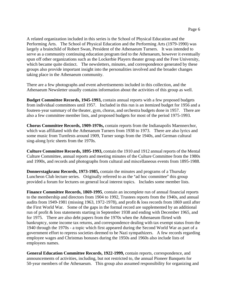A related organization included in this series is the School of Physical Education and the Performing Arts. The School of Physical Education and the Performing Arts (1979-1990) was largely a brainchild of Robert Swan, President of the Athenaeum Turners. It was intended to serve as a community continuing education program tied to the Athenaeum, however it eventually spun off other organizations such as the Lockerbie Players theater group and the Free University, which became quite distinct. The newsletters, minutes, and correspondence generated by these groups also provide important insight into the personalities involved and the broader changes taking place in the Athenaeum community.

There are a few photographs and event advertisements included in this collection, and the Athenaeum Newsletter usually contains information about the activities of this group as well.

**Budget Committee Records, 1945-1993,** contain annual reports with a few proposed budgets from individual committees until 1957. Included in this run is an itemized budget for 1956 and a fouteen-year summary of the theater, gym, chorus, and orchestra budgets done in 1957. There are also a few committee member lists, and proposed budgets for most of the period 1975-1993.

**Chorus Committee Records, 1909-1970s,** contain reports from the Indianapolis Maennerchor, which was affiliated with the Athenaeum Turners from 1938 to 1973. There are also lyrics and some music from Turnfests around 1909, Turner songs from the 1940s, and German cultural sing-along lyric sheets from the 1970s.

**Culture Committee Records, 1895-1993,** contain the 1910 and 1912 annual reports of the Mental Culture Committee, annual reports and meeting minutes of the Culture Committee from the 1980s and 1990s, and records and photographs from cultural and miscellaneous events from 1895-1988.

**Donnerstagkranz Records, 1973-1985,** contain the minutes and programs of a Thursday Luncheon Club lecture series. Originally referred to as the "ad hoc committee" this group provided a forum for lectures on general local interest topics. Includes some member lists.

**Finance Committee Records, 1869-1995**, contain an incomplete run of annual financial reports to the membership and directors from 1904 to 1992, Trustees reports from the 1940s, and annual audits from 1949-1981 (missing 1963, 1972-1978), and profit & loss records from 1869 until after the First World War. Some of the gaps in the formal record are supplemented by an additional run of profit & loss statements starting in September 1938 and ending with December 1965, and for 1975. There are also debt papers from the 1970s when the Athenaeum flirted with bankruptcy, some income tax returns, and correspondence dealing with tax exempt status from the 1940 through the 1970s - a topic which first appeared during the Second World War as part of a government effort to repress societies deemed to be Nazi sympathizers. A few records regarding employee wages and Christmas bonuses during the 1950s and 1960s also include lists of employees names.

**General Education Committee Records, 1922-1999,** contain reports, correspondence, and announcements of activities, including, but not restricted to, the annual Pioneer Banquets for 50-year members of the Athenaeum. This group also assumed responsibility for organizing and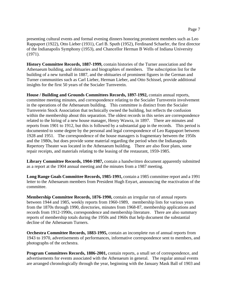Page 7

presenting cultural events and formal evening dinners honoring prominent members such as Leo Rappaport (1922), Otto Lieber (1931), Carl B. Sputh (1952), Ferdinand Schaefer, the first director of the Indianapolis Symphony (1953), and Chancellor Herman B Wells of Indiana University (1971).

**History Committee Records, 1887-1999,** contain histories of the Turner association and the Athenaeum building, and obituaries and biographies of members. The subscription list for the building of a new turnhall in 1887, and the obituaries of prominent figures in the German and Turner communities such as Carl Lieber, Herman Lieber, and Otto Schissel, provide additional insights for the first 50 years of the Socialer Turnverein.

**House / Building and Grounds Committees Records, 1897-1992,** contain annual reports, committee meeting minutes, and correspondence relating to the Socialer Turnverein involvement in the operations of the Athenaeum building. This committee is distinct from the Socialer Turnverein Stock Association that technically owned the building, but reflects the confusion within the membership about this separation. The oldest records in this series are correspondence related to the hiring of a new house manager, Henry Wawra, in 1897. There are minutes and reports from 1901 to 1912, but this is followed by a substantial gap in the records. This period is documented to some degree by the personal and legal correspondence of Leo Rappaport between 1928 and 1951. The correspondence of the house managers is fragmentary between the 1950s and the 1980s, but does provide some material regarding the period when the Indianapolis Repertory Theater was located in the Athenaeum building. There are also floor plans, some repair receipts, and materials relating to the leasing of the restaurant, 1959-1985.

**Library Committee Records, 1904-1987,** contain a handwritten document apparently submitted as a report at the 1904 annual meeting and the minutes from a 1987 meeting.

**Long Range Goals Committee Records, 1985-1991,** contain a 1985 committee report and a 1991 letter to the Athenaeum members from President Hugh Enyart, announcing the reactivation of the committee.

**Membership Committee Records, 1876-1990,** contain an irregular run of annual reports between 1944 and 1985, weekly reports from 1960-1989, membership lists for various years from the 1870s through 1990, directories, minutes from 1968-87, membership applications and records from 1912-1990s, correspondence and membership literature. There are also summary reports of membership totals during the 1950s and 1960s that help document the substantial decline of the Athenaeum Turners.

**Orchestra Committee Records, 1883-1995,** contain an incomplete run of annual reports from 1943 to 1970, advertisements of performances, informative correspondence sent to members, and photographs of the orchestra.

**Program Committees Records, 1886-2001,** contain reports, a small set of correspondence, and advertisements for events associated with the Athenaeum in general. The regular annual events are arranged chronologically through the year, beginning with the January Mask Ball of 1903 and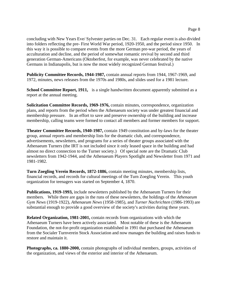concluding with New Years Eve/ Sylvester parties on Dec. 31. Each regular event is also divided into folders reflecting the pre- First World War period, 1920-1950, and the period since 1950. In this way it is possible to compare events from the more German pre-war period, the years of acculturation and decline, and the period of somewhat romantic revival by second and third generation German-Americans (Oktoberfest, for example, was never celebrated by the native Germans in Indianapolis, but is now the most widely recognized German festival.)

**Publicity Committee Records, 1944-1987,** contain annual reports from 1944, 1967-1969, and 1972, minutes, news releases from the 1970s and 1980s, and slides used for a 1981 lecture.

**School Committee Report, 1911,** is a single handwritten document apparently submitted as a report at the annual meeting.

**Solicitation Committee Records, 1969-1976,** contain minutes, correspondence, organization plans, and reports from the period when the Athenaeum society was under greatest financial and membership pressure. In an effort to save and preserve ownership of the building and increase membership, calling teams were formed to contact all members and former members for support.

**Theater Committee Records, 1940-1987,** contain 1949 constitution and by-laws for the theater group, annual reports and membership lists for the dramatic club, and correspondence, advertisements, newsletters, and programs for a series of theater groups associated with the Athenaeum Turners (the IRT is not included since it only leased space in the building and had almost no direct connection to the Turner society.) Of special note are the Dramatic Club newsletters from 1942-1944, and the Athenaeum Players Spotlight and Newsletter from 1971 and 1981-1982.

**Turn Zoegling Verein Records, 1872-1886,** contain meeting minutes, membership lists, financial records, and records for cultural meetings of the Turn Zoegling Verein. This youth organization for teenagers was started on September 4, 1870.

**Publications, 1919-1993,** include newsletters published by the Athenaeum Turners for their members. While there are gaps in the runs of these newsletters, the holdings of the *Athenaeum Gym News* (1919-1922), *Athenaeum News* (1958-1985), and *Turner Nachrichten* (1986-1993) are substantial enough to provide a good overview of the society's activities during these years.

**Related Organization, 1981-2001,** contain records from organizations with which the Athenaeum Turners have been actively associated. Most notable of these is the Athenaeum Foundation, the not-for-profit organization established in 1991 that purchased the Athenaeum from the Socialer Turnverein Stock Association and now manages the building and raises funds to restore and maintain it.

**Photographs, ca. 1880-2000,** contain photographs of individual members, groups, activities of the organization, and views of the exterior and interior of the Athenaeum.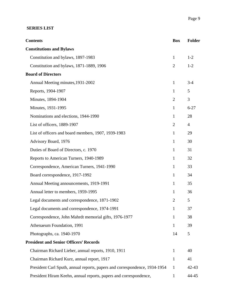#### **SERIES LIST**

| <b>Contents</b>                                                            | <b>Box</b>     | <b>Folder</b>  |  |  |
|----------------------------------------------------------------------------|----------------|----------------|--|--|
| <b>Constitutions and Bylaws</b>                                            |                |                |  |  |
| Constitution and bylaws, 1897-1983                                         | $\mathbf{1}$   | $1 - 2$        |  |  |
| Constitution and bylaws, 1871-1889, 1906                                   | $\overline{2}$ | $1-2$          |  |  |
| <b>Board of Directors</b>                                                  |                |                |  |  |
| Annual Meeting minutes, 1931-2002                                          | $\mathbf{1}$   | $3 - 4$        |  |  |
| Reports, 1904-1907                                                         | $\mathbf{1}$   | 5              |  |  |
| Minutes, 1894-1904                                                         | $\overline{2}$ | 3              |  |  |
| Minutes, 1931-1995                                                         | $\mathbf{1}$   | $6 - 27$       |  |  |
| Nominations and elections, 1944-1990                                       | 1              | 28             |  |  |
| List of officers, 1889-1907                                                | $\overline{2}$ | $\overline{4}$ |  |  |
| List of officers and board members, 1907, 1939-1983                        | 1              | 29             |  |  |
| Advisory Board, 1976                                                       | $\mathbf{1}$   | 30             |  |  |
| Duties of Board of Directors, c. 1970                                      | $\mathbf{1}$   | 31             |  |  |
| Reports to American Turners, 1940-1989                                     | $\mathbf{1}$   | 32             |  |  |
| Correspondence, American Turners, 1941-1990                                | $\mathbf{1}$   | 33             |  |  |
| Board correspondence, 1917-1992                                            | $\mathbf{1}$   | 34             |  |  |
| Annual Meeting announcements, 1919-1991                                    | $\mathbf{1}$   | 35             |  |  |
| Annual letter to members, 1959-1995                                        | 1              | 36             |  |  |
| Legal documents and correspondence, 1871-1902                              | $\overline{2}$ | 5              |  |  |
| Legal documents and correspondence, 1974-1991                              | 1              | 37             |  |  |
| Correspondence, John Mahrdt memorial gifts, 1976-1977                      | 1              | 38             |  |  |
| Athenaeum Foundation, 1991                                                 | 1              | 39             |  |  |
| Photographs, ca. 1940-1970                                                 | 14             | 5              |  |  |
| <b>President and Senior Officers' Records</b>                              |                |                |  |  |
| Chairman Richard Lieber, annual reports, 1910, 1911                        | 1              | 40             |  |  |
| Chairman Richard Kurz, annual report, 1917                                 | $\mathbf{1}$   | 41             |  |  |
| President Carl Sputh, annual reports, papers and correspondence, 1934-1954 | 1              | $42 - 43$      |  |  |
| President Hiram Keehn, annual reports, papers and correspondence,          | $\mathbf{1}$   | 44-45          |  |  |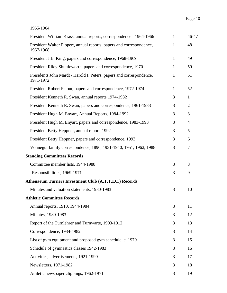| President William Krass, annual reports, correspondence 1964-1966                 | $\mathbf{1}$ | 46-47          |
|-----------------------------------------------------------------------------------|--------------|----------------|
| President Walter Pippert, annual reports, papers and correspondence,<br>1967-1968 | 1            | 48             |
| President J.B. King, papers and correspondence, 1968-1969                         | $\mathbf{1}$ | 49             |
| President Riley Shuttleworth, papers and correspondence, 1970                     | 1            | 50             |
| Presidents John Mardt / Harold I. Peters, papers and correspondence,<br>1971-1972 | 1            | 51             |
| President Robert Fatout, papers and correspondence, 1972-1974                     | $\mathbf{1}$ | 52             |
| President Kenneth R. Swan, annual reports 1974-1982                               | 3            | $\mathbf{1}$   |
| President Kenneth R. Swan, papers and correspondence, 1961-1983                   | 3            | $\overline{2}$ |
| President Hugh M. Enyart, Annual Reports, 1984-1992                               | 3            | 3              |
| President Hugh M. Enyart, papers and correspondence, 1983-1993                    | 3            | $\overline{4}$ |
| President Betty Heppner, annual report, 1992                                      | 3            | 5              |
| President Betty Heppner, papers and correspondence, 1993                          | 3            | 6              |
| Vonnegut family correspondence, 1890, 1931-1940, 1951, 1962, 1988                 | 3            | 7              |
| <b>Standing Committees Records</b>                                                |              |                |
| Committee member lists, 1944-1988                                                 | 3            | 8              |
| Responsibilities, 1969-1971                                                       | 3            | 9              |
| <b>Athenaeum Turners Investment Club (A.T.T.I.C.) Records</b>                     |              |                |
| Minutes and valuation statements, 1980-1983                                       | 3            | 10             |
| <b>Athletic Committee Records</b>                                                 |              |                |
| Annual reports, 1910, 1944-1984                                                   | 3            | 11             |
| Minutes, 1980-1983                                                                | 3            | 12             |
| Report of the Turnlehrer and Turnwarte, 1903-1912                                 | 3            | 13             |
| Correspondence, 1934-1982                                                         | 3            | 14             |
| List of gym equipment and proposed gym schedule, c. 1970                          | 3            | 15             |
| Schedule of gymnastics classes 1942-1983                                          | 3            | 16             |
| Activities, advertisements, 1921-1990                                             | 3            | 17             |
| Newsletters, 1971-1982                                                            | 3            | 18             |
| Athletic newspaper clippings, 1962-1971                                           | 3            | 19             |
|                                                                                   |              |                |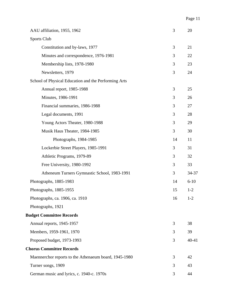|                                 | AAU affiliation, 1955, 1962                           | 3  | 20        |  |  |
|---------------------------------|-------------------------------------------------------|----|-----------|--|--|
|                                 | Sports Club                                           |    |           |  |  |
|                                 | Constitution and by-laws, 1977                        | 3  | 21        |  |  |
|                                 | Minutes and correspondence, 1976-1981                 | 3  | 22        |  |  |
|                                 | Membership lists, 1978-1980                           | 3  | 23        |  |  |
|                                 | Newsletters, 1979                                     | 3  | 24        |  |  |
|                                 | School of Physical Education and the Performing Arts  |    |           |  |  |
|                                 | Annual report, 1985-1988                              | 3  | 25        |  |  |
|                                 | Minutes, 1986-1991                                    | 3  | 26        |  |  |
|                                 | Financial summaries, 1986-1988                        | 3  | 27        |  |  |
|                                 | Legal documents, 1991                                 | 3  | 28        |  |  |
|                                 | Young Actors Theater, 1980-1988                       | 3  | 29        |  |  |
|                                 | Musik Haus Theater, 1984-1985                         | 3  | 30        |  |  |
|                                 | Photographs, 1984-1985                                | 14 | 11        |  |  |
|                                 | Lockerbie Street Players, 1985-1991                   | 3  | 31        |  |  |
|                                 | Athletic Programs, 1979-89                            | 3  | 32        |  |  |
|                                 | Free University, 1980-1992                            | 3  | 33        |  |  |
|                                 | Atheneum Turners Gymnastic School, 1983-1991          | 3  | 34-37     |  |  |
|                                 | Photographs, 1885-1983                                | 14 | $6 - 10$  |  |  |
|                                 | Photographs, 1885-1955                                | 15 | $1 - 2$   |  |  |
|                                 | Photographs, ca. 1906, ca. 1910                       | 16 | $1 - 2$   |  |  |
|                                 | Photographs, 1921                                     |    |           |  |  |
|                                 | <b>Budget Committee Records</b>                       |    |           |  |  |
|                                 | Annual reports, 1945-1957                             | 3  | 38        |  |  |
|                                 | Members, 1959-1961, 1970                              | 3  | 39        |  |  |
|                                 | Proposed budget, 1973-1993                            | 3  | $40 - 41$ |  |  |
| <b>Chorus Committee Records</b> |                                                       |    |           |  |  |
|                                 | Maennerchor reports to the Athenaeum board, 1945-1980 | 3  | 42        |  |  |
|                                 | Turner songs, 1909                                    | 3  | 43        |  |  |
|                                 | German music and lyrics, c. 1940-c. 1970s             | 3  | 44        |  |  |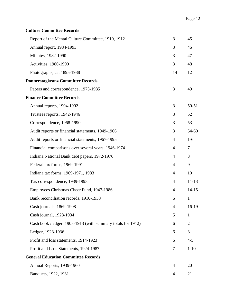| <b>Culture Committee Records</b>                            |                |                |
|-------------------------------------------------------------|----------------|----------------|
| Report of the Mental Culture Committee, 1910, 1912          | 3              | 45             |
| Annual report, 1984-1993                                    | 3              | 46             |
| Minutes, 1982-1990                                          | 3              | 47             |
| Activities, 1980-1990                                       | 3              | 48             |
| Photographs, ca. 1895-1988                                  | 14             | 12             |
| <b>Donnerstagkranz Committee Records</b>                    |                |                |
| Papers and correspondence, 1973-1985                        | 3              | 49             |
| <b>Finance Committee Records</b>                            |                |                |
| Annual reports, 1904-1992                                   | 3              | $50 - 51$      |
| Trustees reports, 1942-1946                                 | 3              | 52             |
| Correspondence, 1968-1990                                   | 3              | 53             |
| Audit reports or financial statements, 1949-1966            | 3              | 54-60          |
| Audit reports or financial statements, 1967-1995            | 4              | $1-6$          |
| Financial comparisons over several years, 1946-1974         | $\overline{4}$ | 7              |
| Indiana National Bank debt papers, 1972-1976                | $\overline{4}$ | 8              |
| Federal tax forms, 1969-1991                                | $\overline{4}$ | 9              |
| Indiana tax forms, 1969-1971, 1983                          | 4              | 10             |
| Tax correspondence, 1939-1993                               | 4              | $11 - 13$      |
| Employees Christmas Cheer Fund, 1947-1986                   | $\overline{4}$ | $14 - 15$      |
| Bank reconciliation records, 1910-1938                      | 6              | $\mathbf{1}$   |
| Cash journals, 1869-1908                                    | 4              | $16-19$        |
| Cash journal, 1928-1934                                     | 5              | 1              |
| Cash book /ledger, 1908-1913 (with summary totals for 1912) | 6              | $\overline{2}$ |
| Ledger, 1923-1936                                           | 6              | 3              |
| Profit and loss statements, 1914-1923                       | 6              | $4 - 5$        |
| Profit and Loss Statements, 1924-1987                       | 7              | $1 - 10$       |
| <b>General Education Committee Records</b>                  |                |                |
| Annual Reports, 1939-1960                                   | 4              | 20             |
| Banquets, 1922, 1931                                        | 4              | 21             |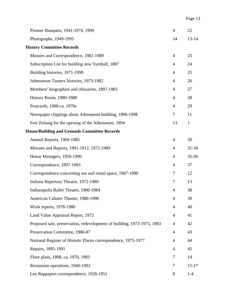| Pioneer Banquets, 1941-1974, 1999                                       | $\overline{4}$ | 22           |
|-------------------------------------------------------------------------|----------------|--------------|
| Photographs, 1949-1995                                                  | 14             | $13 - 14$    |
| <b>History Committee Records</b>                                        |                |              |
| Minutes and Correspondence, 1981-1989                                   | $\overline{4}$ | 23           |
| Subscription List for building new Turnhall, 1887                       | $\overline{4}$ | 24           |
| Building histories, 1971-1999                                           | $\overline{4}$ | 25           |
| Athenaeum Turners histories, 1973-1982                                  | $\overline{4}$ | 26           |
| Members' biographies and obituaries, 1897-1983                          | 4              | 27           |
| <b>History Room, 1980-1988</b>                                          | $\overline{4}$ | 28           |
| Postcards, 1908-ca. 1970s                                               | $\overline{4}$ | 29           |
| Newspaper clippings about Athenaeum building, 1896-1998                 | $\tau$         | 11           |
| Fest Zeitung for the opening of the Athenaeum, 1894                     | 13             | $\mathbf{1}$ |
| <b>House/Building and Grounds Committee Records</b>                     |                |              |
| Annual Reports, 1960-1985                                               | $\overline{4}$ | 30           |
| Minutes and Reports, 1901-1912, 1972-1989                               | $\overline{4}$ | $31 - 34$    |
| House Managers, 1959-1990                                               | $\overline{4}$ | $35 - 36$    |
| Correspondence, 1897-1983                                               | $\overline{4}$ | 37           |
| Correspondence concerning use and rental space, 1967-1990               | $\overline{7}$ | 12           |
| Indiana Repertory Theatre, 1972-1980                                    | $\overline{7}$ | 13           |
| Indianapolis Ballet Theatre, 1980-1984                                  | $\overline{4}$ | 38           |
| American Cabaret Theatre, 1988-1990                                     | $\overline{4}$ | 39           |
| Work reports, 1978-1980                                                 | 4              | 40           |
| Land Value Appraisal Report, 1972                                       | $\overline{4}$ | 41           |
| Proposed sale, preservation, redevelopment of building, 1973-1975, 1983 | 4              | 42           |
| Preservation Committee, 1980-87                                         | $\overline{4}$ | 43           |
| National Register of Historic Places correspondence, 1975-1977          | 4              | 44           |
| Repairs, 1895-1991                                                      | $\overline{4}$ | 45           |
| Floor plans, 1898, ca. 1970, 1983                                       | 7              | 14           |
| Restaurant operations, 1940-1992                                        | 7              | $15 - 17$    |
| Leo Rappaport correspondence, 1928-1951                                 | 8              | $1-4$        |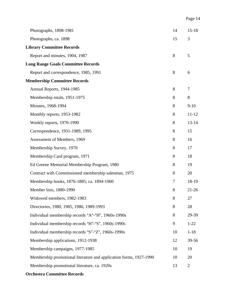| Photographs, 1898-1981                                             | 14     | $15 - 18$      |  |  |  |  |
|--------------------------------------------------------------------|--------|----------------|--|--|--|--|
| Photographs, ca. 1898                                              | 15     | 3              |  |  |  |  |
| <b>Library Committee Records</b>                                   |        |                |  |  |  |  |
| Report and minutes, 1904, 1987                                     | 8      | 5              |  |  |  |  |
| <b>Long Range Goals Committee Records</b>                          |        |                |  |  |  |  |
| Report and correspondence, 1985, 1991                              | 8      | 6              |  |  |  |  |
| <b>Membership Committee Records</b>                                |        |                |  |  |  |  |
| Annual Reports, 1944-1985                                          | 8      | 7              |  |  |  |  |
| Membership totals, 1951-1975                                       | 8      | 8              |  |  |  |  |
| Minutes, 1968-1994                                                 | 8      | $9-10$         |  |  |  |  |
| Monthly reports, 1953-1982                                         | 8      | $11 - 12$      |  |  |  |  |
| Weekly reports, 1970-1990                                          | 8      | $13 - 14$      |  |  |  |  |
| Correspondence, 1931-1989, 1995                                    | 8      | 15             |  |  |  |  |
| Assessment of Members, 1969                                        | 8      | 16             |  |  |  |  |
| Membership Survey, 1970                                            | 8      | 17             |  |  |  |  |
| Membership Card program, 1971                                      | 8      | 18             |  |  |  |  |
| Ed Greene Memorial Membership Program, 1980                        | 8      | 19             |  |  |  |  |
| Contract with Commissioned membership salesman, 1975               | 8      | 20             |  |  |  |  |
| Membership books, 1876-1885; ca. 1894-1900                         | $\tau$ | 18-19          |  |  |  |  |
| Member lists, 1880-1990                                            | 8      | $21 - 26$      |  |  |  |  |
| Widowed members, 1982-1983                                         | 8      | 27             |  |  |  |  |
| Directories, 1980, 1985, 1986, 1989-1993                           | 8      | 28             |  |  |  |  |
| Individual membership records "A"-"H", 1960s-1990s                 | 8      | 29-39          |  |  |  |  |
| Individual membership records "H"-"S", 1960s-1990s                 | 9      | $1 - 22$       |  |  |  |  |
| Individual membership records "S"-"Z", 1960s-1990s                 | 10     | $1 - 18$       |  |  |  |  |
| Membership applications, 1912-1938                                 | 12     | 39-56          |  |  |  |  |
| Membership campaigns, 1977-1985                                    | 10     | 19             |  |  |  |  |
| Membership promotional literature and application forms, 1927-1990 | 10     | 20             |  |  |  |  |
| Membership promotional literature, ca. 1920s                       | 13     | $\overline{2}$ |  |  |  |  |
| <b>Orchestra Committee Records</b>                                 |        |                |  |  |  |  |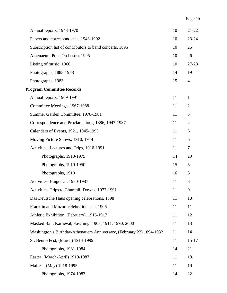| Annual reports, 1943-1970                                            | 10 | $21 - 22$      |
|----------------------------------------------------------------------|----|----------------|
| Papers and correspondence, 1943-1992                                 | 10 | $23 - 24$      |
| Subscription list of contributors to band concerts, 1896             | 10 | 25             |
| Athenaeum Pops Orchestra, 1995                                       | 10 | 26             |
| Listing of music, 1960                                               | 10 | 27-28          |
| Photographs, 1883-1988                                               | 14 | 19             |
| Photographs, 1983                                                    | 15 | $\overline{4}$ |
| <b>Program Committee Records</b>                                     |    |                |
| Annual reports, 1909-1991                                            | 11 | $\mathbf{1}$   |
| Committee Meetings, 1967-1988                                        | 11 | $\overline{2}$ |
| Summer Garden Committee, 1978-1981                                   | 11 | 3              |
| Correspondence and Proclamations, 1886, 1947-1987                    | 11 | $\overline{4}$ |
| Calendars of Events, 1921, 1945-1995                                 | 11 | 5              |
| Moving Picture Shows, 1910, 1914                                     | 11 | 6              |
| Activities, Lectures and Trips, 1916-1991                            | 11 | 7              |
| Photographs, 1910-1975                                               | 14 | 20             |
| Photographs, 1910-1950                                               | 15 | 5              |
| Photographs, 1910                                                    | 16 | 3              |
| Activities, Bingo, ca. 1980-1987                                     | 11 | 8              |
| Activities, Trips to Churchill Downs, 1972-1991                      | 11 | 9              |
| Das Deutsche Haus opening celebrations, 1898                         | 11 | 10             |
| Franklin and Mozart celebration, Jan. 1906                           | 11 | 11             |
| Athletic Exhibition, (February), 1916-1917                           | 11 | 12             |
| Masked Ball, Karneval, Fasching, 1903, 1911, 1990, 2000              | 11 | 13             |
| Washington's Birthday/Athenauem Anniversary, (February 22) 1894-1932 | 11 | 14             |
| St. Benno Fest, (March) 1914-1999                                    | 11 | $15 - 17$      |
| Photographs, 1981-1984                                               | 14 | 21             |
| Easter, (March-April) 1919-1987                                      | 11 | 18             |
| Maifest, (May) 1918-1995                                             | 11 | 19             |
| Photographs, 1974-1983                                               | 14 | 22             |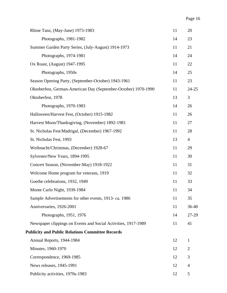| Rhine Tanz, (May-June) 1973-1983                               | 11 | 20             |  |  |
|----------------------------------------------------------------|----|----------------|--|--|
| Photographs, 1981-1982                                         | 14 | 23             |  |  |
| Summer Garden Party Series, (July-August) 1914-1973            | 11 | 21             |  |  |
| Photographs, 1974-1981                                         | 14 | 24             |  |  |
| Ox Roast, (August) 1947-1995                                   | 11 | 22             |  |  |
| Photographs, 1950s                                             | 14 | 25             |  |  |
| Season Opening Party, (September-October) 1943-1961            | 11 | 23             |  |  |
| Oktoberfest, German-American Day (September-October) 1970-1990 | 11 | $24 - 25$      |  |  |
| Oktoberfest, 1978                                              | 13 | 3              |  |  |
| Photographs, 1970-1983                                         | 14 | 26             |  |  |
| Halloween/Harvest Fest, (October) 1915-1982                    | 11 | 26             |  |  |
| Harvest Moon/Thanksgiving, (November) 1892-1981                | 11 | 27             |  |  |
| St. Nicholas Fest/Madrigal, (December) 1967-1992               | 11 | 28             |  |  |
| St. Nicholas Fest, 1993                                        | 13 | $\overline{4}$ |  |  |
| Weihnacht/Christmas, (December) 1928-67                        | 11 | 29             |  |  |
| Sylvester/New Years, 1894-1995                                 | 11 | 30             |  |  |
| Concert Season, (November-May) 1918-1922                       | 11 | 31             |  |  |
| Welcome Home program for veterans, 1919                        | 11 | 32             |  |  |
| Goethe celebrations, 1932, 1949                                | 11 | 33             |  |  |
| Monte Carlo Night, 1939-1984                                   | 11 | 34             |  |  |
| Sample Advertisements for other events, 1913-ca. 1986          | 11 | 35             |  |  |
| Anniversaries, 1926-2001                                       | 11 | $36 - 40$      |  |  |
| Photographs, 1951, 1976                                        | 14 | 27-29          |  |  |
| Newspaper clippings on Events and Social Activities, 1917-1989 | 11 | 41             |  |  |
| <b>Publicity and Public Relations Committee Records</b>        |    |                |  |  |
| Annual Reports, 1944-1984                                      | 12 | 1              |  |  |
| Minutes, 1960-1970                                             | 12 | $\overline{2}$ |  |  |
| Correspondence, 1969-1985                                      | 12 | 3              |  |  |
| News releases, 1945-1991                                       | 12 | $\overline{4}$ |  |  |
| Publicity activities, 1970s-1983                               | 12 | 5              |  |  |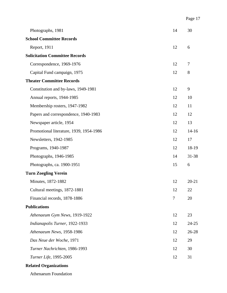| Photographs, 1981                       | 14 | 30        |  |  |  |
|-----------------------------------------|----|-----------|--|--|--|
| <b>School Committee Records</b>         |    |           |  |  |  |
| Report, 1911                            | 12 | 6         |  |  |  |
| <b>Solicitation Committee Records</b>   |    |           |  |  |  |
| Correspondence, 1969-1976               | 12 | 7         |  |  |  |
| Capital Fund campaign, 1975             | 12 | 8         |  |  |  |
| <b>Theater Committee Records</b>        |    |           |  |  |  |
| Constitution and by-laws, 1949-1981     | 12 | 9         |  |  |  |
| Annual reports, 1944-1985               | 12 | 10        |  |  |  |
| Membership rosters, 1947-1982           | 12 | 11        |  |  |  |
| Papers and correspondence, 1940-1983    | 12 | 12        |  |  |  |
| Newspaper article, 1954                 | 12 | 13        |  |  |  |
| Promotional literature, 1939, 1954-1986 | 12 | $14 - 16$ |  |  |  |
| Newsletters, 1942-1985                  | 12 | 17        |  |  |  |
| Programs, 1940-1987                     | 12 | 18-19     |  |  |  |
| Photographs, 1946-1985                  | 14 | 31-38     |  |  |  |
| Photographs, ca. 1900-1951              | 15 | 6         |  |  |  |
| <b>Turn Zoegling Verein</b>             |    |           |  |  |  |
| Minutes, 1872-1882                      | 12 | $20 - 21$ |  |  |  |
| Cultural meetings, 1872-1881            | 12 | 22        |  |  |  |
| Financial records, 1878-1886            | 7  | 20        |  |  |  |
| <b>Publications</b>                     |    |           |  |  |  |
| Athenaeum Gym News, 1919-1922           | 12 | 23        |  |  |  |
| Indianapolis Turner, 1922-1933          | 12 | 24-25     |  |  |  |
| Athenaeum News, 1958-1986               | 12 | 26-28     |  |  |  |
| Das Neue der Woche, 1971                | 12 | 29        |  |  |  |
| Turner Nachrichten, 1986-1993           | 12 | 30        |  |  |  |
| Turner Life, 1995-2005                  | 12 | 31        |  |  |  |
|                                         |    |           |  |  |  |

### **Related Organizations**

Athenaeum Foundation